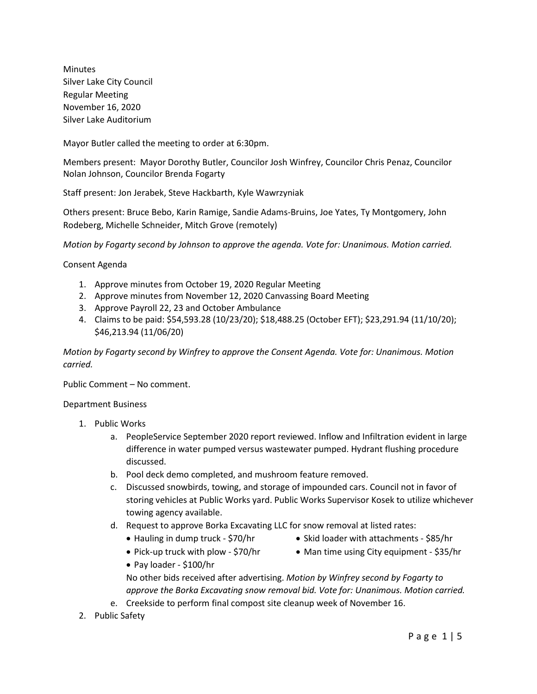Minutes Silver Lake City Council Regular Meeting November 16, 2020 Silver Lake Auditorium

Mayor Butler called the meeting to order at 6:30pm.

Members present: Mayor Dorothy Butler, Councilor Josh Winfrey, Councilor Chris Penaz, Councilor Nolan Johnson, Councilor Brenda Fogarty

Staff present: Jon Jerabek, Steve Hackbarth, Kyle Wawrzyniak

Others present: Bruce Bebo, Karin Ramige, Sandie Adams-Bruins, Joe Yates, Ty Montgomery, John Rodeberg, Michelle Schneider, Mitch Grove (remotely)

*Motion by Fogarty second by Johnson to approve the agenda. Vote for: Unanimous. Motion carried.*

Consent Agenda

- 1. Approve minutes from October 19, 2020 Regular Meeting
- 2. Approve minutes from November 12, 2020 Canvassing Board Meeting
- 3. Approve Payroll 22, 23 and October Ambulance
- 4. Claims to be paid: \$54,593.28 (10/23/20); \$18,488.25 (October EFT); \$23,291.94 (11/10/20); \$46,213.94 (11/06/20)

*Motion by Fogarty second by Winfrey to approve the Consent Agenda. Vote for: Unanimous. Motion carried.*

Public Comment – No comment.

#### Department Business

- 1. Public Works
	- a. PeopleService September 2020 report reviewed. Inflow and Infiltration evident in large difference in water pumped versus wastewater pumped. Hydrant flushing procedure discussed.
	- b. Pool deck demo completed, and mushroom feature removed.
	- c. Discussed snowbirds, towing, and storage of impounded cars. Council not in favor of storing vehicles at Public Works yard. Public Works Supervisor Kosek to utilize whichever towing agency available.
	- d. Request to approve Borka Excavating LLC for snow removal at listed rates:
		- Hauling in dump truck \$70/hr
- Skid loader with attachments \$85/hr
- Pick-up truck with plow \$70/hr Man time using City equipment \$35/hr
- 
- Pay loader \$100/hr

No other bids received after advertising. *Motion by Winfrey second by Fogarty to approve the Borka Excavating snow removal bid. Vote for: Unanimous. Motion carried.*

- e. Creekside to perform final compost site cleanup week of November 16.
- 2. Public Safety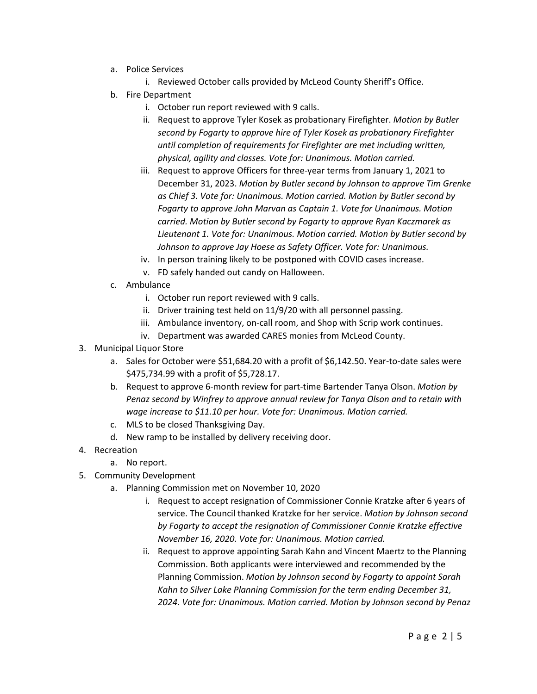- a. Police Services
	- i. Reviewed October calls provided by McLeod County Sheriff's Office.
- b. Fire Department
	- i. October run report reviewed with 9 calls.
	- ii. Request to approve Tyler Kosek as probationary Firefighter. *Motion by Butler second by Fogarty to approve hire of Tyler Kosek as probationary Firefighter until completion of requirements for Firefighter are met including written, physical, agility and classes. Vote for: Unanimous. Motion carried.*
	- iii. Request to approve Officers for three-year terms from January 1, 2021 to December 31, 2023. *Motion by Butler second by Johnson to approve Tim Grenke as Chief 3. Vote for: Unanimous. Motion carried. Motion by Butler second by Fogarty to approve John Marvan as Captain 1. Vote for Unanimous. Motion carried. Motion by Butler second by Fogarty to approve Ryan Kaczmarek as Lieutenant 1. Vote for: Unanimous. Motion carried. Motion by Butler second by Johnson to approve Jay Hoese as Safety Officer. Vote for: Unanimous.*
	- iv. In person training likely to be postponed with COVID cases increase.
	- v. FD safely handed out candy on Halloween.
- c. Ambulance
	- i. October run report reviewed with 9 calls.
	- ii. Driver training test held on 11/9/20 with all personnel passing.
	- iii. Ambulance inventory, on-call room, and Shop with Scrip work continues.
	- iv. Department was awarded CARES monies from McLeod County.
- 3. Municipal Liquor Store
	- a. Sales for October were \$51,684.20 with a profit of \$6,142.50. Year-to-date sales were \$475,734.99 with a profit of \$5,728.17.
	- b. Request to approve 6-month review for part-time Bartender Tanya Olson. *Motion by Penaz second by Winfrey to approve annual review for Tanya Olson and to retain with wage increase to \$11.10 per hour. Vote for: Unanimous. Motion carried.*
	- c. MLS to be closed Thanksgiving Day.
	- d. New ramp to be installed by delivery receiving door.
- 4. Recreation
	- a. No report.
- 5. Community Development
	- a. Planning Commission met on November 10, 2020
		- i. Request to accept resignation of Commissioner Connie Kratzke after 6 years of service. The Council thanked Kratzke for her service. *Motion by Johnson second by Fogarty to accept the resignation of Commissioner Connie Kratzke effective November 16, 2020. Vote for: Unanimous. Motion carried.*
		- ii. Request to approve appointing Sarah Kahn and Vincent Maertz to the Planning Commission. Both applicants were interviewed and recommended by the Planning Commission. *Motion by Johnson second by Fogarty to appoint Sarah Kahn to Silver Lake Planning Commission for the term ending December 31, 2024. Vote for: Unanimous. Motion carried. Motion by Johnson second by Penaz*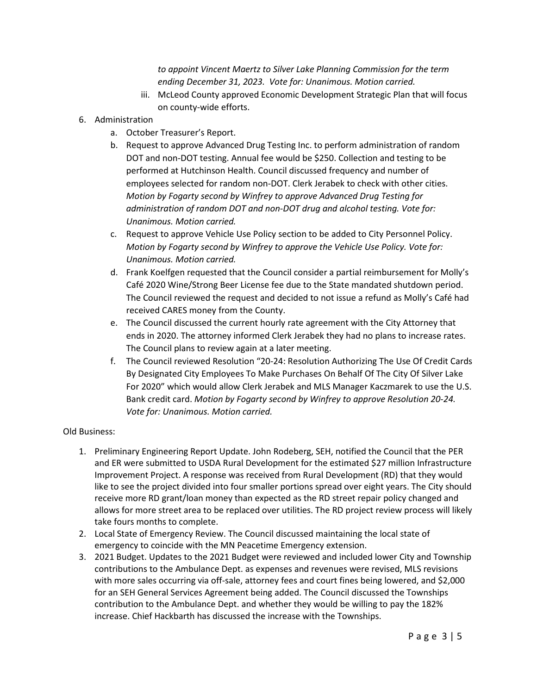*to appoint Vincent Maertz to Silver Lake Planning Commission for the term ending December 31, 2023. Vote for: Unanimous. Motion carried.*

- iii. McLeod County approved Economic Development Strategic Plan that will focus on county-wide efforts.
- 6. Administration
	- a. October Treasurer's Report.
	- b. Request to approve Advanced Drug Testing Inc. to perform administration of random DOT and non-DOT testing. Annual fee would be \$250. Collection and testing to be performed at Hutchinson Health. Council discussed frequency and number of employees selected for random non-DOT. Clerk Jerabek to check with other cities. *Motion by Fogarty second by Winfrey to approve Advanced Drug Testing for administration of random DOT and non-DOT drug and alcohol testing. Vote for: Unanimous. Motion carried.*
	- c. Request to approve Vehicle Use Policy section to be added to City Personnel Policy. *Motion by Fogarty second by Winfrey to approve the Vehicle Use Policy. Vote for: Unanimous. Motion carried.*
	- d. Frank Koelfgen requested that the Council consider a partial reimbursement for Molly's Café 2020 Wine/Strong Beer License fee due to the State mandated shutdown period. The Council reviewed the request and decided to not issue a refund as Molly's Café had received CARES money from the County.
	- e. The Council discussed the current hourly rate agreement with the City Attorney that ends in 2020. The attorney informed Clerk Jerabek they had no plans to increase rates. The Council plans to review again at a later meeting.
	- f. The Council reviewed Resolution "20-24: Resolution Authorizing The Use Of Credit Cards By Designated City Employees To Make Purchases On Behalf Of The City Of Silver Lake For 2020" which would allow Clerk Jerabek and MLS Manager Kaczmarek to use the U.S. Bank credit card. *Motion by Fogarty second by Winfrey to approve Resolution 20-24. Vote for: Unanimous. Motion carried.*

#### Old Business:

- 1. Preliminary Engineering Report Update. John Rodeberg, SEH, notified the Council that the PER and ER were submitted to USDA Rural Development for the estimated \$27 million Infrastructure Improvement Project. A response was received from Rural Development (RD) that they would like to see the project divided into four smaller portions spread over eight years. The City should receive more RD grant/loan money than expected as the RD street repair policy changed and allows for more street area to be replaced over utilities. The RD project review process will likely take fours months to complete.
- 2. Local State of Emergency Review. The Council discussed maintaining the local state of emergency to coincide with the MN Peacetime Emergency extension.
- 3. 2021 Budget. Updates to the 2021 Budget were reviewed and included lower City and Township contributions to the Ambulance Dept. as expenses and revenues were revised, MLS revisions with more sales occurring via off-sale, attorney fees and court fines being lowered, and \$2,000 for an SEH General Services Agreement being added. The Council discussed the Townships contribution to the Ambulance Dept. and whether they would be willing to pay the 182% increase. Chief Hackbarth has discussed the increase with the Townships.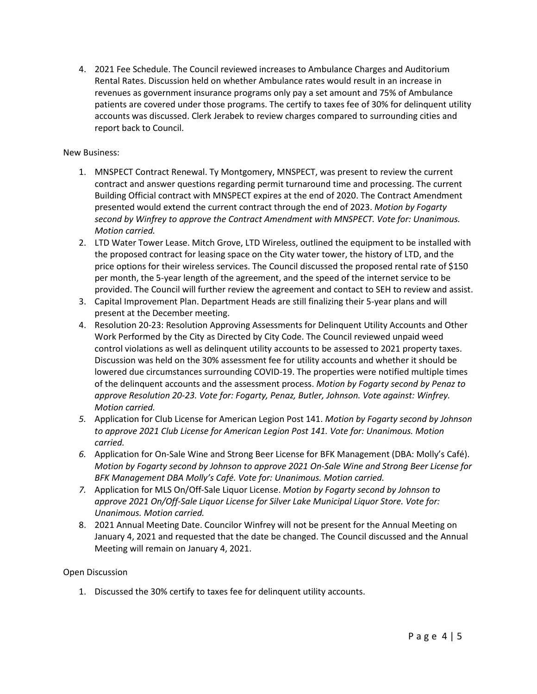4. 2021 Fee Schedule. The Council reviewed increases to Ambulance Charges and Auditorium Rental Rates. Discussion held on whether Ambulance rates would result in an increase in revenues as government insurance programs only pay a set amount and 75% of Ambulance patients are covered under those programs. The certify to taxes fee of 30% for delinquent utility accounts was discussed. Clerk Jerabek to review charges compared to surrounding cities and report back to Council.

### New Business:

- 1. MNSPECT Contract Renewal. Ty Montgomery, MNSPECT, was present to review the current contract and answer questions regarding permit turnaround time and processing. The current Building Official contract with MNSPECT expires at the end of 2020. The Contract Amendment presented would extend the current contract through the end of 2023. *Motion by Fogarty second by Winfrey to approve the Contract Amendment with MNSPECT. Vote for: Unanimous. Motion carried.*
- 2. LTD Water Tower Lease. Mitch Grove, LTD Wireless, outlined the equipment to be installed with the proposed contract for leasing space on the City water tower, the history of LTD, and the price options for their wireless services. The Council discussed the proposed rental rate of \$150 per month, the 5-year length of the agreement, and the speed of the internet service to be provided. The Council will further review the agreement and contact to SEH to review and assist.
- 3. Capital Improvement Plan. Department Heads are still finalizing their 5-year plans and will present at the December meeting.
- 4. Resolution 20-23: Resolution Approving Assessments for Delinquent Utility Accounts and Other Work Performed by the City as Directed by City Code. The Council reviewed unpaid weed control violations as well as delinquent utility accounts to be assessed to 2021 property taxes. Discussion was held on the 30% assessment fee for utility accounts and whether it should be lowered due circumstances surrounding COVID-19. The properties were notified multiple times of the delinquent accounts and the assessment process. *Motion by Fogarty second by Penaz to approve Resolution 20-23. Vote for: Fogarty, Penaz, Butler, Johnson. Vote against: Winfrey. Motion carried.*
- *5.* Application for Club License for American Legion Post 141. *Motion by Fogarty second by Johnson to approve 2021 Club License for American Legion Post 141. Vote for: Unanimous. Motion carried.*
- *6.* Application for On-Sale Wine and Strong Beer License for BFK Management (DBA: Molly's Café). *Motion by Fogarty second by Johnson to approve 2021 On-Sale Wine and Strong Beer License for BFK Management DBA Molly's Café. Vote for: Unanimous. Motion carried.*
- *7.* Application for MLS On/Off-Sale Liquor License. *Motion by Fogarty second by Johnson to approve 2021 On/Off-Sale Liquor License for Silver Lake Municipal Liquor Store. Vote for: Unanimous. Motion carried.*
- 8. 2021 Annual Meeting Date. Councilor Winfrey will not be present for the Annual Meeting on January 4, 2021 and requested that the date be changed. The Council discussed and the Annual Meeting will remain on January 4, 2021.

#### Open Discussion

1. Discussed the 30% certify to taxes fee for delinquent utility accounts.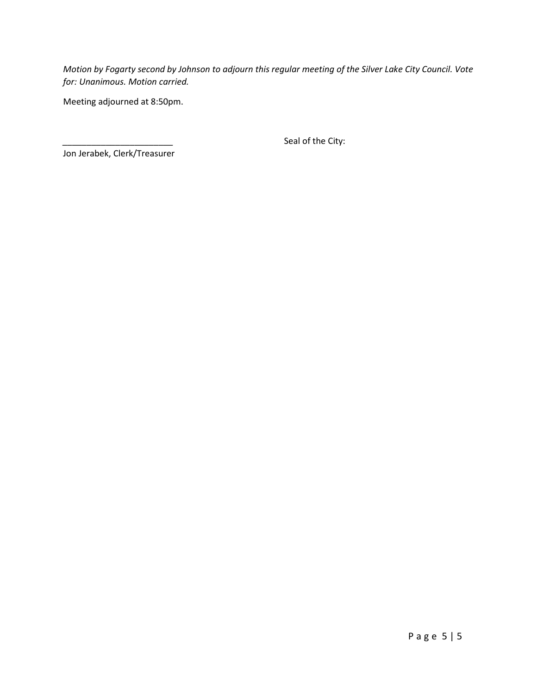*Motion by Fogarty second by Johnson to adjourn this regular meeting of the Silver Lake City Council. Vote for: Unanimous. Motion carried.*

Meeting adjourned at 8:50pm.

Seal of the City:

Jon Jerabek, Clerk/Treasurer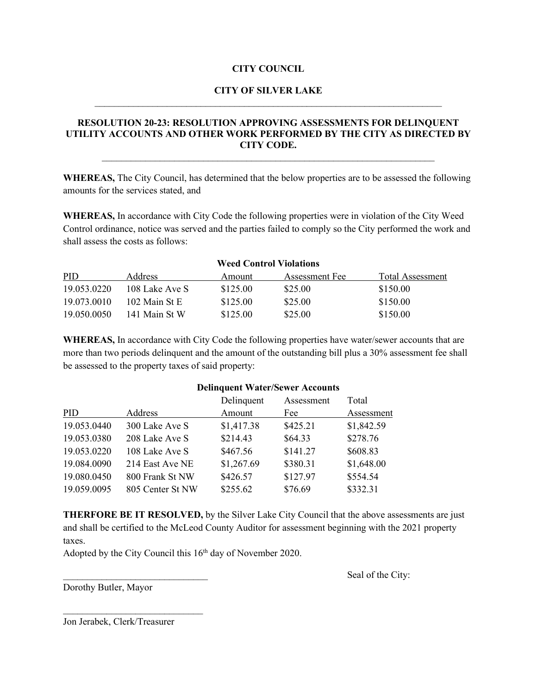#### **CITY COUNCIL**

### **CITY OF SILVER LAKE**  $\mathcal{L}_\text{max}$  , and the contract of the contract of the contract of the contract of the contract of the contract of

## **RESOLUTION 20-23: RESOLUTION APPROVING ASSESSMENTS FOR DELINQUENT UTILITY ACCOUNTS AND OTHER WORK PERFORMED BY THE CITY AS DIRECTED BY CITY CODE.**

\_\_\_\_\_\_\_\_\_\_\_\_\_\_\_\_\_\_\_\_\_\_\_\_\_\_\_\_\_\_\_\_\_\_\_\_\_\_\_\_\_\_\_\_\_\_\_\_\_\_\_\_\_\_\_\_\_\_\_\_\_\_\_\_\_\_\_\_\_

**WHEREAS,** The City Council, has determined that the below properties are to be assessed the following amounts for the services stated, and

**WHEREAS,** In accordance with City Code the following properties were in violation of the City Weed Control ordinance, notice was served and the parties failed to comply so the City performed the work and shall assess the costs as follows:

| <b>Weed Control Violations</b> |                 |          |                |                  |  |  |
|--------------------------------|-----------------|----------|----------------|------------------|--|--|
| <b>PID</b>                     | <b>Address</b>  | Amount   | Assessment Fee | Total Assessment |  |  |
| 19.053.0220                    | 108 Lake Ave S  | \$125.00 | \$25.00        | \$150.00         |  |  |
| 19.073.0010                    | $102$ Main St E | \$125.00 | \$25.00        | \$150.00         |  |  |
| 19.050.0050                    | 141 Main St W   | \$125.00 | \$25.00        | \$150.00         |  |  |

**WHEREAS,** In accordance with City Code the following properties have water/sewer accounts that are more than two periods delinquent and the amount of the outstanding bill plus a 30% assessment fee shall be assessed to the property taxes of said property:

|                  | Delinquent | Assessment | Total      |
|------------------|------------|------------|------------|
| Address          | Amount     | Fee        | Assessment |
| 300 Lake Ave S   | \$1,417.38 | \$425.21   | \$1,842.59 |
| 208 Lake Ave S   | \$214.43   | \$64.33    | \$278.76   |
| 108 Lake Ave S   | \$467.56   | \$141.27   | \$608.83   |
| 214 East Ave NE  | \$1,267.69 | \$380.31   | \$1,648.00 |
| 800 Frank St NW  | \$426.57   | \$127.97   | \$554.54   |
| 805 Center St NW | \$255.62   | \$76.69    | \$332.31   |
|                  |            |            |            |

**THERFORE BE IT RESOLVED,** by the Silver Lake City Council that the above assessments are just and shall be certified to the McLeod County Auditor for assessment beginning with the 2021 property taxes.

Adopted by the City Council this 16<sup>th</sup> day of November 2020.

Seal of the City:

Dorothy Butler, Mayor

Jon Jerabek, Clerk/Treasurer

 $\mathcal{L}_\text{max}$  , where  $\mathcal{L}_\text{max}$  , we have the set of the set of the set of the set of the set of the set of the set of the set of the set of the set of the set of the set of the set of the set of the set of the set of